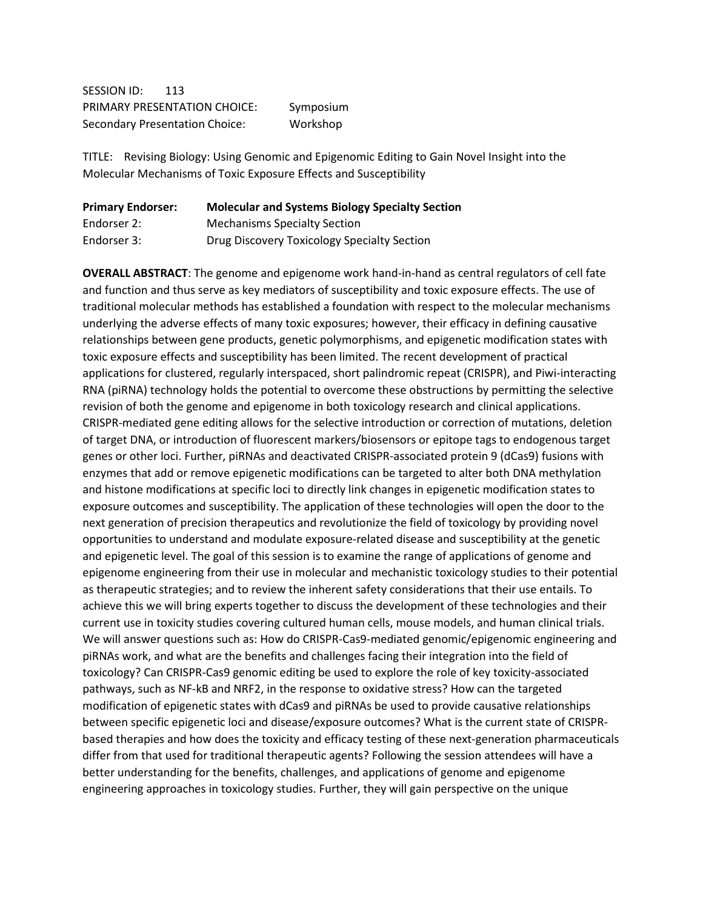SESSION ID: 113 PRIMARY PRESENTATION CHOICE: Symposium Secondary Presentation Choice: Workshop

TITLE: Revising Biology: Using Genomic and Epigenomic Editing to Gain Novel Insight into the Molecular Mechanisms of Toxic Exposure Effects and Susceptibility

| <b>Primary Endorser:</b> | <b>Molecular and Systems Biology Specialty Section</b> |
|--------------------------|--------------------------------------------------------|
| Endorser 2:              | <b>Mechanisms Specialty Section</b>                    |
| Endorser 3:              | Drug Discovery Toxicology Specialty Section            |

**OVERALL ABSTRACT**: The genome and epigenome work hand-in-hand as central regulators of cell fate and function and thus serve as key mediators of susceptibility and toxic exposure effects. The use of traditional molecular methods has established a foundation with respect to the molecular mechanisms underlying the adverse effects of many toxic exposures; however, their efficacy in defining causative relationships between gene products, genetic polymorphisms, and epigenetic modification states with toxic exposure effects and susceptibility has been limited. The recent development of practical applications for clustered, regularly interspaced, short palindromic repeat (CRISPR), and Piwi-interacting RNA (piRNA) technology holds the potential to overcome these obstructions by permitting the selective revision of both the genome and epigenome in both toxicology research and clinical applications. CRISPR-mediated gene editing allows for the selective introduction or correction of mutations, deletion of target DNA, or introduction of fluorescent markers/biosensors or epitope tags to endogenous target genes or other loci. Further, piRNAs and deactivated CRISPR-associated protein 9 (dCas9) fusions with enzymes that add or remove epigenetic modifications can be targeted to alter both DNA methylation and histone modifications at specific loci to directly link changes in epigenetic modification states to exposure outcomes and susceptibility. The application of these technologies will open the door to the next generation of precision therapeutics and revolutionize the field of toxicology by providing novel opportunities to understand and modulate exposure-related disease and susceptibility at the genetic and epigenetic level. The goal of this session is to examine the range of applications of genome and epigenome engineering from their use in molecular and mechanistic toxicology studies to their potential as therapeutic strategies; and to review the inherent safety considerations that their use entails. To achieve this we will bring experts together to discuss the development of these technologies and their current use in toxicity studies covering cultured human cells, mouse models, and human clinical trials. We will answer questions such as: How do CRISPR-Cas9-mediated genomic/epigenomic engineering and piRNAs work, and what are the benefits and challenges facing their integration into the field of toxicology? Can CRISPR-Cas9 genomic editing be used to explore the role of key toxicity-associated pathways, such as NF-kB and NRF2, in the response to oxidative stress? How can the targeted modification of epigenetic states with dCas9 and piRNAs be used to provide causative relationships between specific epigenetic loci and disease/exposure outcomes? What is the current state of CRISPRbased therapies and how does the toxicity and efficacy testing of these next-generation pharmaceuticals differ from that used for traditional therapeutic agents? Following the session attendees will have a better understanding for the benefits, challenges, and applications of genome and epigenome engineering approaches in toxicology studies. Further, they will gain perspective on the unique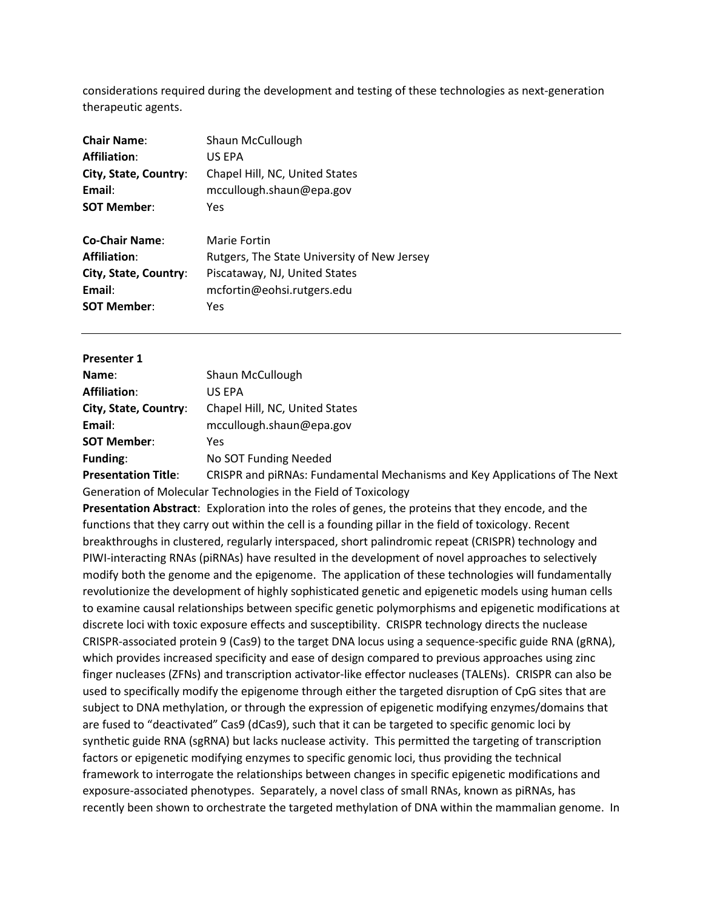considerations required during the development and testing of these technologies as next-generation therapeutic agents.

| <b>Chair Name:</b><br><b>Affiliation:</b> | Shaun McCullough<br>US EPA                  |
|-------------------------------------------|---------------------------------------------|
| City, State, Country:                     | Chapel Hill, NC, United States              |
| Email:                                    | mccullough.shaun@epa.gov                    |
| <b>SOT Member:</b>                        | Yes                                         |
| <b>Co-Chair Name:</b>                     | Marie Fortin                                |
| <b>Affiliation:</b>                       | Rutgers, The State University of New Jersey |
| City, State, Country:                     | Piscataway, NJ, United States               |
| Email:                                    | mcfortin@eohsi.rutgers.edu                  |
|                                           |                                             |

| <b>Presenter 1</b> |  |
|--------------------|--|
|--------------------|--|

| Name:                      | Shaun McCullough                                                           |
|----------------------------|----------------------------------------------------------------------------|
| <b>Affiliation:</b>        | US EPA                                                                     |
| City, State, Country:      | Chapel Hill, NC, United States                                             |
| Email:                     | mccullough.shaun@epa.gov                                                   |
| <b>SOT Member:</b>         | Yes                                                                        |
| <b>Funding:</b>            | No SOT Funding Needed                                                      |
| <b>Presentation Title:</b> | CRISPR and piRNAs: Fundamental Mechanisms and Key Applications of The Next |

Generation of Molecular Technologies in the Field of Toxicology

**Presentation Abstract**: Exploration into the roles of genes, the proteins that they encode, and the functions that they carry out within the cell is a founding pillar in the field of toxicology. Recent breakthroughs in clustered, regularly interspaced, short palindromic repeat (CRISPR) technology and PIWI-interacting RNAs (piRNAs) have resulted in the development of novel approaches to selectively modify both the genome and the epigenome. The application of these technologies will fundamentally revolutionize the development of highly sophisticated genetic and epigenetic models using human cells to examine causal relationships between specific genetic polymorphisms and epigenetic modifications at discrete loci with toxic exposure effects and susceptibility. CRISPR technology directs the nuclease CRISPR-associated protein 9 (Cas9) to the target DNA locus using a sequence-specific guide RNA (gRNA), which provides increased specificity and ease of design compared to previous approaches using zinc finger nucleases (ZFNs) and transcription activator-like effector nucleases (TALENs). CRISPR can also be used to specifically modify the epigenome through either the targeted disruption of CpG sites that are subject to DNA methylation, or through the expression of epigenetic modifying enzymes/domains that are fused to "deactivated" Cas9 (dCas9), such that it can be targeted to specific genomic loci by synthetic guide RNA (sgRNA) but lacks nuclease activity. This permitted the targeting of transcription factors or epigenetic modifying enzymes to specific genomic loci, thus providing the technical framework to interrogate the relationships between changes in specific epigenetic modifications and exposure-associated phenotypes. Separately, a novel class of small RNAs, known as piRNAs, has recently been shown to orchestrate the targeted methylation of DNA within the mammalian genome. In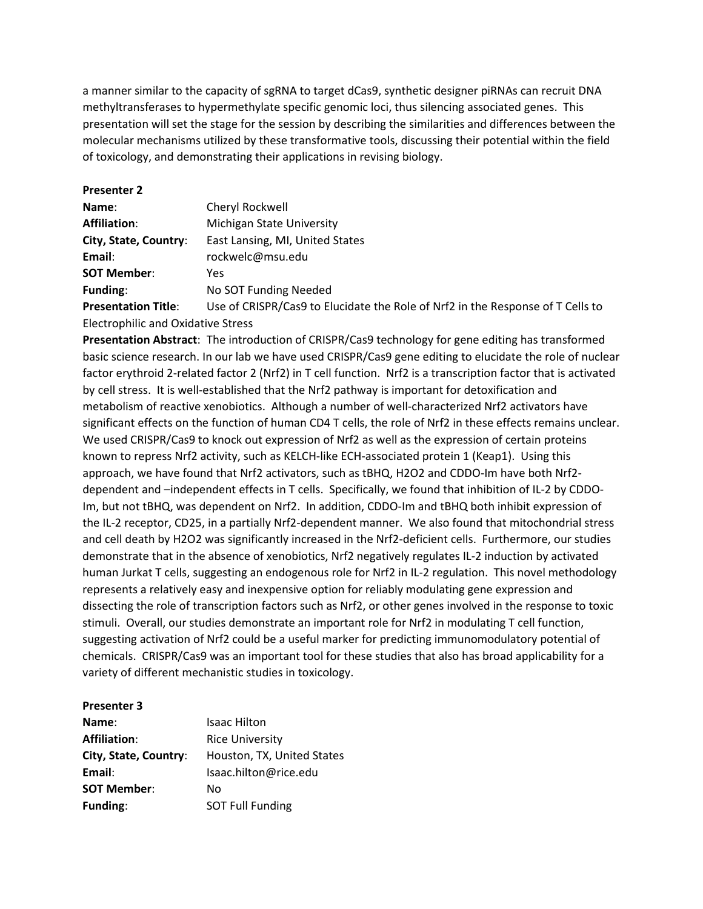a manner similar to the capacity of sgRNA to target dCas9, synthetic designer piRNAs can recruit DNA methyltransferases to hypermethylate specific genomic loci, thus silencing associated genes. This presentation will set the stage for the session by describing the similarities and differences between the molecular mechanisms utilized by these transformative tools, discussing their potential within the field of toxicology, and demonstrating their applications in revising biology.

| <b>Presenter 2</b>                        |                                                                                |
|-------------------------------------------|--------------------------------------------------------------------------------|
| Name:                                     | Cheryl Rockwell                                                                |
| <b>Affiliation:</b>                       | Michigan State University                                                      |
| City, State, Country:                     | East Lansing, MI, United States                                                |
| Email:                                    | rockwelc@msu.edu                                                               |
| <b>SOT Member:</b>                        | Yes                                                                            |
| <b>Funding:</b>                           | No SOT Funding Needed                                                          |
| <b>Presentation Title:</b>                | Use of CRISPR/Cas9 to Elucidate the Role of Nrf2 in the Response of T Cells to |
| <b>Electrophilic and Oxidative Stress</b> |                                                                                |

**Presentation Abstract**: The introduction of CRISPR/Cas9 technology for gene editing has transformed basic science research. In our lab we have used CRISPR/Cas9 gene editing to elucidate the role of nuclear factor erythroid 2-related factor 2 (Nrf2) in T cell function. Nrf2 is a transcription factor that is activated by cell stress. It is well-established that the Nrf2 pathway is important for detoxification and metabolism of reactive xenobiotics. Although a number of well-characterized Nrf2 activators have significant effects on the function of human CD4 T cells, the role of Nrf2 in these effects remains unclear. We used CRISPR/Cas9 to knock out expression of Nrf2 as well as the expression of certain proteins known to repress Nrf2 activity, such as KELCH-like ECH-associated protein 1 (Keap1). Using this approach, we have found that Nrf2 activators, such as tBHQ, H2O2 and CDDO-Im have both Nrf2 dependent and –independent effects in T cells. Specifically, we found that inhibition of IL-2 by CDDO-Im, but not tBHQ, was dependent on Nrf2. In addition, CDDO-Im and tBHQ both inhibit expression of the IL-2 receptor, CD25, in a partially Nrf2-dependent manner. We also found that mitochondrial stress and cell death by H2O2 was significantly increased in the Nrf2-deficient cells. Furthermore, our studies demonstrate that in the absence of xenobiotics, Nrf2 negatively regulates IL-2 induction by activated human Jurkat T cells, suggesting an endogenous role for Nrf2 in IL-2 regulation. This novel methodology represents a relatively easy and inexpensive option for reliably modulating gene expression and dissecting the role of transcription factors such as Nrf2, or other genes involved in the response to toxic stimuli. Overall, our studies demonstrate an important role for Nrf2 in modulating T cell function, suggesting activation of Nrf2 could be a useful marker for predicting immunomodulatory potential of chemicals. CRISPR/Cas9 was an important tool for these studies that also has broad applicability for a variety of different mechanistic studies in toxicology.

## **Presenter 3**

| Name:                 | <b>Isaac Hilton</b>        |
|-----------------------|----------------------------|
| <b>Affiliation:</b>   | <b>Rice University</b>     |
| City, State, Country: | Houston, TX, United States |
| Email:                | Isaac.hilton@rice.edu      |
| <b>SOT Member:</b>    | N٥                         |
| Funding:              | <b>SOT Full Funding</b>    |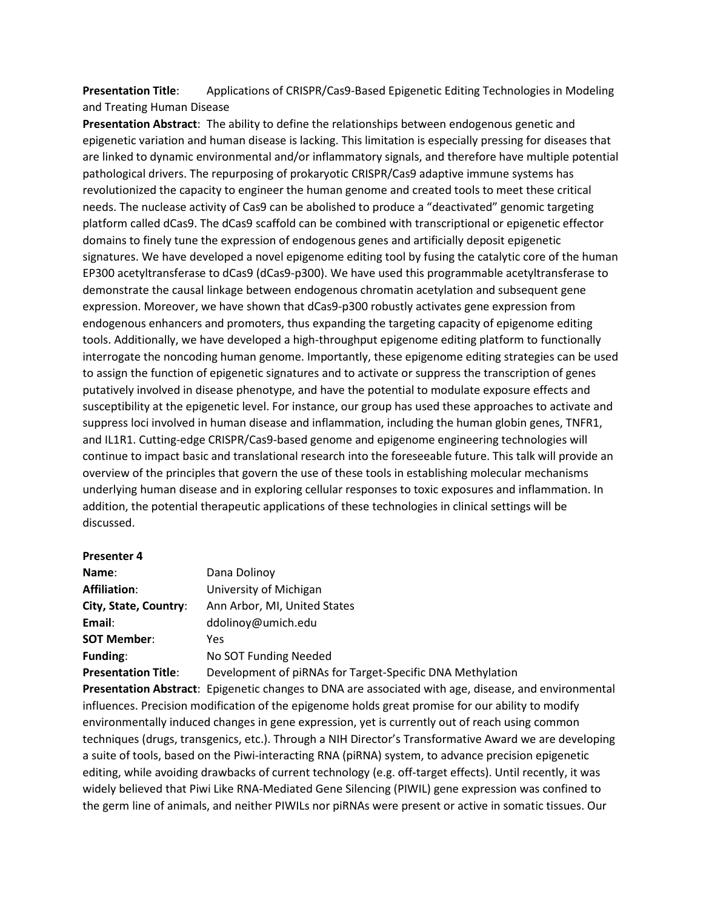**Presentation Title**: Applications of CRISPR/Cas9-Based Epigenetic Editing Technologies in Modeling and Treating Human Disease

**Presentation Abstract**: The ability to define the relationships between endogenous genetic and epigenetic variation and human disease is lacking. This limitation is especially pressing for diseases that are linked to dynamic environmental and/or inflammatory signals, and therefore have multiple potential pathological drivers. The repurposing of prokaryotic CRISPR/Cas9 adaptive immune systems has revolutionized the capacity to engineer the human genome and created tools to meet these critical needs. The nuclease activity of Cas9 can be abolished to produce a "deactivated" genomic targeting platform called dCas9. The dCas9 scaffold can be combined with transcriptional or epigenetic effector domains to finely tune the expression of endogenous genes and artificially deposit epigenetic signatures. We have developed a novel epigenome editing tool by fusing the catalytic core of the human EP300 acetyltransferase to dCas9 (dCas9-p300). We have used this programmable acetyltransferase to demonstrate the causal linkage between endogenous chromatin acetylation and subsequent gene expression. Moreover, we have shown that dCas9-p300 robustly activates gene expression from endogenous enhancers and promoters, thus expanding the targeting capacity of epigenome editing tools. Additionally, we have developed a high-throughput epigenome editing platform to functionally interrogate the noncoding human genome. Importantly, these epigenome editing strategies can be used to assign the function of epigenetic signatures and to activate or suppress the transcription of genes putatively involved in disease phenotype, and have the potential to modulate exposure effects and susceptibility at the epigenetic level. For instance, our group has used these approaches to activate and suppress loci involved in human disease and inflammation, including the human globin genes, TNFR1, and IL1R1. Cutting-edge CRISPR/Cas9-based genome and epigenome engineering technologies will continue to impact basic and translational research into the foreseeable future. This talk will provide an overview of the principles that govern the use of these tools in establishing molecular mechanisms underlying human disease and in exploring cellular responses to toxic exposures and inflammation. In addition, the potential therapeutic applications of these technologies in clinical settings will be discussed.

## **Presenter 4**

| Name:                      | Dana Dolinoy                                              |
|----------------------------|-----------------------------------------------------------|
| <b>Affiliation:</b>        | University of Michigan                                    |
| City, State, Country:      | Ann Arbor, MI, United States                              |
| Email:                     | ddolinoy@umich.edu                                        |
| <b>SOT Member:</b>         | Yes                                                       |
| <b>Funding:</b>            | No SOT Funding Needed                                     |
| <b>Presentation Title:</b> | Development of piRNAs for Target-Specific DNA Methylation |

**Presentation Abstract**: Epigenetic changes to DNA are associated with age, disease, and environmental influences. Precision modification of the epigenome holds great promise for our ability to modify environmentally induced changes in gene expression, yet is currently out of reach using common techniques (drugs, transgenics, etc.). Through a NIH Director's Transformative Award we are developing a suite of tools, based on the Piwi-interacting RNA (piRNA) system, to advance precision epigenetic editing, while avoiding drawbacks of current technology (e.g. off-target effects). Until recently, it was widely believed that Piwi Like RNA-Mediated Gene Silencing (PIWIL) gene expression was confined to the germ line of animals, and neither PIWILs nor piRNAs were present or active in somatic tissues. Our